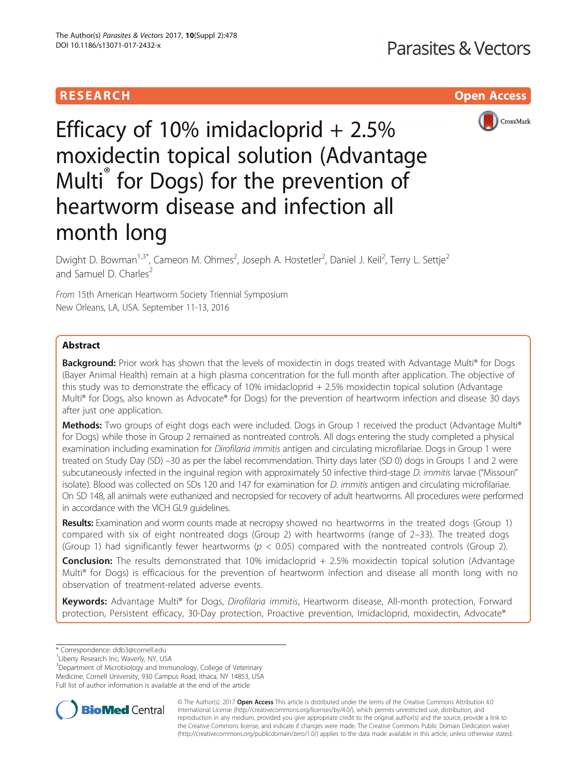# **RESEARCH CHILD CONTROL** CONTROL CONTROL CONTROL CONTROL CONTROL CONTROL CONTROL CONTROL CONTROL CONTROL CONTROL



Efficacy of 10% imidacloprid  $+ 2.5%$ moxidectin topical solution (Advantage Multi<sup>®</sup> for Dogs) for the prevention of heartworm disease and infection all month long

Dwight D. Bowman<sup>1,3\*</sup>, Cameon M. Ohmes<sup>2</sup>, Joseph A. Hostetler<sup>2</sup>, Daniel J. Keil<sup>2</sup>, Terry L. Settje<sup>2</sup> and Samuel D. Charles<sup>2</sup>

From 15th American Heartworm Society Triennial Symposium New Orleans, LA, USA. September 11-13, 2016

# Abstract

**Background:** Prior work has shown that the levels of moxidectin in dogs treated with Advantage Multi® for Dogs (Bayer Animal Health) remain at a high plasma concentration for the full month after application. The objective of this study was to demonstrate the efficacy of 10% imidacloprid + 2.5% moxidectin topical solution (Advantage Multi® for Dogs, also known as Advocate® for Dogs) for the prevention of heartworm infection and disease 30 days after just one application.

Methods: Two groups of eight dogs each were included. Dogs in Group 1 received the product (Advantage Multi® for Dogs) while those in Group 2 remained as nontreated controls. All dogs entering the study completed a physical examination including examination for *Dirofilaria immitis* antigen and circulating microfilariae. Dogs in Group 1 were treated on Study Day (SD) –30 as per the label recommendation. Thirty days later (SD 0) dogs in Groups 1 and 2 were subcutaneously infected in the inguinal region with approximately 50 infective third-stage D. immitis larvae ("Missouri" isolate). Blood was collected on SDs 120 and 147 for examination for D. immitis antigen and circulating microfilariae. On SD 148, all animals were euthanized and necropsied for recovery of adult heartworms. All procedures were performed in accordance with the VICH GL9 guidelines.

Results: Examination and worm counts made at necropsy showed no heartworms in the treated dogs (Group 1) compared with six of eight nontreated dogs (Group 2) with heartworms (range of 2–33). The treated dogs (Group 1) had significantly fewer heartworms ( $p < 0.05$ ) compared with the nontreated controls (Group 2).

Conclusion: The results demonstrated that 10% imidacloprid + 2.5% moxidectin topical solution (Advantage Multi® for Dogs) is efficacious for the prevention of heartworm infection and disease all month long with no observation of treatment-related adverse events.

Keywords: Advantage Multi® for Dogs, Dirofilaria immitis, Heartworm disease, All-month protection, Forward protection, Persistent efficacy, 30-Day protection, Proactive prevention, Imidacloprid, moxidectin, Advocate®

<sup>&</sup>lt;sup>3</sup>Department of Microbiology and Immunology, College of Veterinary Medicine, Cornell University, 930 Campus Road, Ithaca, NY 14853, USA Full list of author information is available at the end of the article



© The Author(s). 2017 **Open Access** This article is distributed under the terms of the Creative Commons Attribution 4.0 International License [\(http://creativecommons.org/licenses/by/4.0/](http://creativecommons.org/licenses/by/4.0/)), which permits unrestricted use, distribution, and reproduction in any medium, provided you give appropriate credit to the original author(s) and the source, provide a link to the Creative Commons license, and indicate if changes were made. The Creative Commons Public Domain Dedication waiver [\(http://creativecommons.org/publicdomain/zero/1.0/](http://creativecommons.org/publicdomain/zero/1.0/)) applies to the data made available in this article, unless otherwise stated.

<sup>\*</sup> Correspondence: [ddb3@cornell.edu](mailto:ddb3@cornell.edu) <sup>1</sup>

<sup>&</sup>lt;sup>1</sup> Liberty Research Inc, Waverly, NY, USA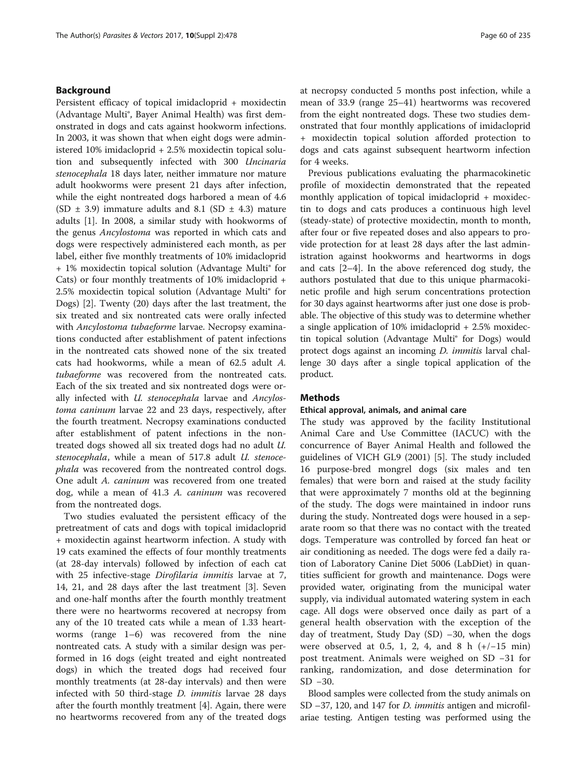### Background

Persistent efficacy of topical imidacloprid + moxidectin (Advantage Multi®, Bayer Animal Health) was first demonstrated in dogs and cats against hookworm infections. In 2003, it was shown that when eight dogs were administered 10% imidacloprid + 2.5% moxidectin topical solution and subsequently infected with 300 Uncinaria stenocephala 18 days later, neither immature nor mature adult hookworms were present 21 days after infection, while the eight nontreated dogs harbored a mean of 4.6 (SD  $\pm$  3.9) immature adults and 8.1 (SD  $\pm$  4.3) mature adults [[1](#page-5-0)]. In 2008, a similar study with hookworms of the genus Ancylostoma was reported in which cats and dogs were respectively administered each month, as per label, either five monthly treatments of 10% imidacloprid + 1% moxidectin topical solution (Advantage Multi® for Cats) or four monthly treatments of 10% imidacloprid + 2.5% moxidectin topical solution (Advantage Multi® for Dogs) [\[2](#page-5-0)]. Twenty (20) days after the last treatment, the six treated and six nontreated cats were orally infected with Ancylostoma tubaeforme larvae. Necropsy examinations conducted after establishment of patent infections in the nontreated cats showed none of the six treated cats had hookworms, while a mean of 62.5 adult A. tubaeforme was recovered from the nontreated cats. Each of the six treated and six nontreated dogs were orally infected with *U. stenocephala* larvae and Ancylostoma caninum larvae 22 and 23 days, respectively, after the fourth treatment. Necropsy examinations conducted after establishment of patent infections in the nontreated dogs showed all six treated dogs had no adult U. stenocephala, while a mean of 517.8 adult U. stenoce*phala* was recovered from the nontreated control dogs. One adult A. caninum was recovered from one treated dog, while a mean of 41.3 A. caninum was recovered from the nontreated dogs.

Two studies evaluated the persistent efficacy of the pretreatment of cats and dogs with topical imidacloprid + moxidectin against heartworm infection. A study with 19 cats examined the effects of four monthly treatments (at 28-day intervals) followed by infection of each cat with 25 infective-stage Dirofilaria immitis larvae at 7, 14, 21, and 28 days after the last treatment [\[3\]](#page-5-0). Seven and one-half months after the fourth monthly treatment there were no heartworms recovered at necropsy from any of the 10 treated cats while a mean of 1.33 heartworms (range 1–6) was recovered from the nine nontreated cats. A study with a similar design was performed in 16 dogs (eight treated and eight nontreated dogs) in which the treated dogs had received four monthly treatments (at 28-day intervals) and then were infected with 50 third-stage D. immitis larvae 28 days after the fourth monthly treatment [\[4](#page-5-0)]. Again, there were no heartworms recovered from any of the treated dogs at necropsy conducted 5 months post infection, while a mean of 33.9 (range 25–41) heartworms was recovered from the eight nontreated dogs. These two studies demonstrated that four monthly applications of imidacloprid + moxidectin topical solution afforded protection to dogs and cats against subsequent heartworm infection for 4 weeks.

Previous publications evaluating the pharmacokinetic profile of moxidectin demonstrated that the repeated monthly application of topical imidacloprid + moxidectin to dogs and cats produces a continuous high level (steady-state) of protective moxidectin, month to month, after four or five repeated doses and also appears to provide protection for at least 28 days after the last administration against hookworms and heartworms in dogs and cats [\[2](#page-5-0)–[4](#page-5-0)]. In the above referenced dog study, the authors postulated that due to this unique pharmacokinetic profile and high serum concentrations protection for 30 days against heartworms after just one dose is probable. The objective of this study was to determine whether a single application of 10% imidacloprid + 2.5% moxidectin topical solution (Advantage Multi® for Dogs) would protect dogs against an incoming D. immitis larval challenge 30 days after a single topical application of the product.

### **Methods**

### Ethical approval, animals, and animal care

The study was approved by the facility Institutional Animal Care and Use Committee (IACUC) with the concurrence of Bayer Animal Health and followed the guidelines of VICH GL9 (2001) [[5\]](#page-5-0). The study included 16 purpose-bred mongrel dogs (six males and ten females) that were born and raised at the study facility that were approximately 7 months old at the beginning of the study. The dogs were maintained in indoor runs during the study. Nontreated dogs were housed in a separate room so that there was no contact with the treated dogs. Temperature was controlled by forced fan heat or air conditioning as needed. The dogs were fed a daily ration of Laboratory Canine Diet 5006 (LabDiet) in quantities sufficient for growth and maintenance. Dogs were provided water, originating from the municipal water supply, via individual automated watering system in each cage. All dogs were observed once daily as part of a general health observation with the exception of the day of treatment, Study Day (SD) –30, when the dogs were observed at 0.5, 1, 2, 4, and 8 h  $(+/-15$  min) post treatment. Animals were weighed on SD −31 for ranking, randomization, and dose determination for SD −30.

Blood samples were collected from the study animals on SD –37, 120, and 147 for *D. immitis* antigen and microfilariae testing. Antigen testing was performed using the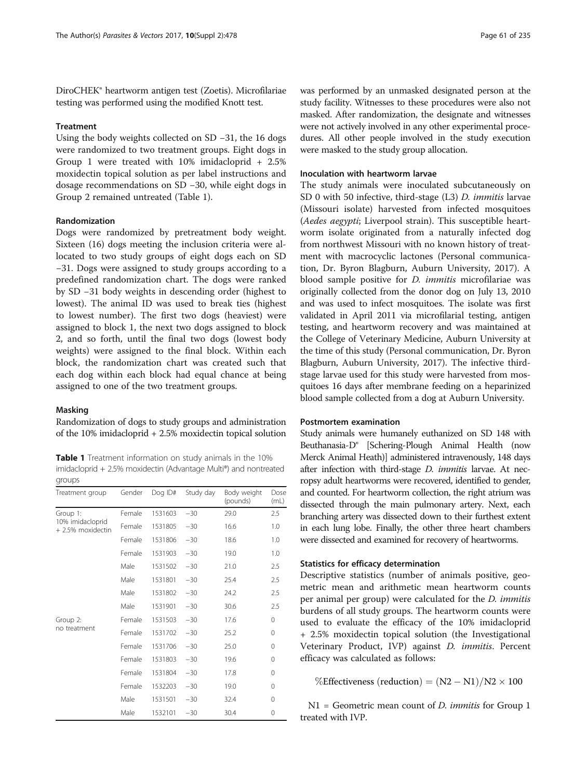DiroCHEK® heartworm antigen test (Zoetis). Microfilariae testing was performed using the modified Knott test.

### **Treatment**

Using the body weights collected on SD −31, the 16 dogs were randomized to two treatment groups. Eight dogs in Group 1 were treated with 10% imidacloprid + 2.5% moxidectin topical solution as per label instructions and dosage recommendations on SD −30, while eight dogs in Group 2 remained untreated (Table 1).

### Randomization

Dogs were randomized by pretreatment body weight. Sixteen (16) dogs meeting the inclusion criteria were allocated to two study groups of eight dogs each on SD −31. Dogs were assigned to study groups according to a predefined randomization chart. The dogs were ranked by SD −31 body weights in descending order (highest to lowest). The animal ID was used to break ties (highest to lowest number). The first two dogs (heaviest) were assigned to block 1, the next two dogs assigned to block 2, and so forth, until the final two dogs (lowest body weights) were assigned to the final block. Within each block, the randomization chart was created such that each dog within each block had equal chance at being assigned to one of the two treatment groups.

### Masking

Randomization of dogs to study groups and administration of the 10% imidacloprid + 2.5% moxidectin topical solution

Table 1 Treatment information on study animals in the 10% imidacloprid + 2.5% moxidectin (Advantage Multi®) and nontreated groups

| Treatment group                                   | Gender | Dog ID# | Study day | Body weight<br>(pounds) | Dose<br>(mL) |
|---------------------------------------------------|--------|---------|-----------|-------------------------|--------------|
| Group 1:<br>10% imidacloprid<br>+ 2.5% moxidectin | Female | 1531603 | $-30$     | 29.0                    | 2.5          |
|                                                   | Female | 1531805 | $-30$     | 16.6                    | 1.0          |
|                                                   | Female | 1531806 | $-30$     | 18.6                    | 1.0          |
|                                                   | Female | 1531903 | $-30$     | 19.0                    | 1.0          |
|                                                   | Male   | 1531502 | $-30$     | 21.0                    | 2.5          |
|                                                   | Male   | 1531801 | $-30$     | 25.4                    | 2.5          |
|                                                   | Male   | 1531802 | $-30$     | 24.2                    | 2.5          |
|                                                   | Male   | 1531901 | $-30$     | 30.6                    | 2.5          |
| Group 2:<br>no treatment                          | Female | 1531503 | $-30$     | 17.6                    | 0            |
|                                                   | Female | 1531702 | $-30$     | 25.2                    | 0            |
|                                                   | Female | 1531706 | $-30$     | 25.0                    | 0            |
|                                                   | Female | 1531803 | $-30$     | 19.6                    | 0            |
|                                                   | Female | 1531804 | $-30$     | 17.8                    | 0            |
|                                                   | Female | 1532203 | $-30$     | 19.0                    | 0            |
|                                                   | Male   | 1531501 | $-30$     | 32.4                    | 0            |
|                                                   | Male   | 1532101 | $-30$     | 30.4                    | 0            |

was performed by an unmasked designated person at the study facility. Witnesses to these procedures were also not masked. After randomization, the designate and witnesses were not actively involved in any other experimental procedures. All other people involved in the study execution were masked to the study group allocation.

### Inoculation with heartworm larvae

The study animals were inoculated subcutaneously on SD 0 with 50 infective, third-stage (L3) D. immitis larvae (Missouri isolate) harvested from infected mosquitoes (Aedes aegypti; Liverpool strain). This susceptible heartworm isolate originated from a naturally infected dog from northwest Missouri with no known history of treatment with macrocyclic lactones (Personal communication, Dr. Byron Blagburn, Auburn University, 2017). A blood sample positive for D. immitis microfilariae was originally collected from the donor dog on July 13, 2010 and was used to infect mosquitoes. The isolate was first validated in April 2011 via microfilarial testing, antigen testing, and heartworm recovery and was maintained at the College of Veterinary Medicine, Auburn University at the time of this study (Personal communication, Dr. Byron Blagburn, Auburn University, 2017). The infective thirdstage larvae used for this study were harvested from mosquitoes 16 days after membrane feeding on a heparinized blood sample collected from a dog at Auburn University.

### Postmortem examination

Study animals were humanely euthanized on SD 148 with Beuthanasia-D® [Schering-Plough Animal Health (now Merck Animal Heath)] administered intravenously, 148 days after infection with third-stage *D. immitis* larvae. At necropsy adult heartworms were recovered, identified to gender, and counted. For heartworm collection, the right atrium was dissected through the main pulmonary artery. Next, each branching artery was dissected down to their furthest extent in each lung lobe. Finally, the other three heart chambers were dissected and examined for recovery of heartworms.

### Statistics for efficacy determination

Descriptive statistics (number of animals positive, geometric mean and arithmetic mean heartworm counts per animal per group) were calculated for the D. immitis burdens of all study groups. The heartworm counts were used to evaluate the efficacy of the 10% imidacloprid + 2.5% moxidectin topical solution (the Investigational Veterinary Product, IVP) against D. immitis. Percent efficacy was calculated as follows:

%Effectiveness (reduction) =  $(N2 - N1)/N2 \times 100$ 

 $N1$  = Geometric mean count of *D. immitis* for Group 1 treated with IVP.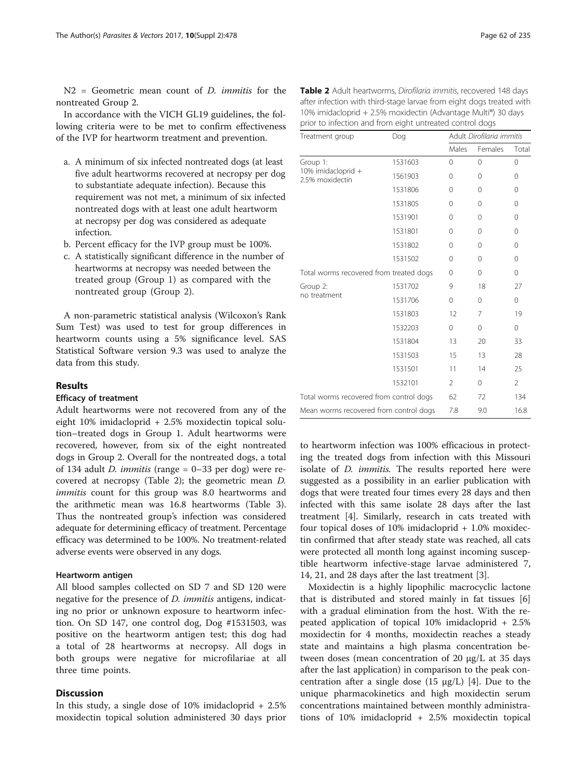N2 = Geometric mean count of D. immitis for the nontreated Group 2.

In accordance with the VICH GL19 guidelines, the following criteria were to be met to confirm effectiveness of the IVP for heartworm treatment and prevention.

- a. A minimum of six infected nontreated dogs (at least five adult heartworms recovered at necropsy per dog to substantiate adequate infection). Because this requirement was not met, a minimum of six infected nontreated dogs with at least one adult heartworm at necropsy per dog was considered as adequate infection.
- b. Percent efficacy for the IVP group must be 100%.
- c. A statistically significant difference in the number of heartworms at necropsy was needed between the treated group (Group 1) as compared with the nontreated group (Group 2).

A non-parametric statistical analysis (Wilcoxon's Rank Sum Test) was used to test for group differences in heartworm counts using a 5% significance level. SAS Statistical Software version 9.3 was used to analyze the data from this study.

### Results

### Efficacy of treatment

Adult heartworms were not recovered from any of the eight 10% imidacloprid + 2.5% moxidectin topical solution–treated dogs in Group 1. Adult heartworms were recovered, however, from six of the eight nontreated dogs in Group 2. Overall for the nontreated dogs, a total of 134 adult *D. immitis* (range  $= 0-33$  per dog) were recovered at necropsy (Table 2); the geometric mean D. immitis count for this group was 8.0 heartworms and the arithmetic mean was 16.8 heartworms (Table [3](#page-4-0)). Thus the nontreated group's infection was considered adequate for determining efficacy of treatment. Percentage efficacy was determined to be 100%. No treatment-related adverse events were observed in any dogs.

### Heartworm antigen

All blood samples collected on SD 7 and SD 120 were negative for the presence of *D. immitis* antigens, indicating no prior or unknown exposure to heartworm infection. On SD 147, one control dog, Dog #1531503, was positive on the heartworm antigen test; this dog had a total of 28 heartworms at necropsy. All dogs in both groups were negative for microfilariae at all three time points.

### **Discussion**

In this study, a single dose of  $10\%$  imidacloprid  $+2.5\%$ moxidectin topical solution administered 30 days prior

| Table 2 Adult heartworms, Dirofilaria immitis, recovered 148 days    |
|----------------------------------------------------------------------|
| after infection with third-stage larvae from eight dogs treated with |
| 10% imidacloprid + 2.5% moxidectin (Advantage Multi®) 30 days        |
| prior to infection and from eight untreated control dogs             |

| Treatment group                                   | Dog     |                | Adult Dirofilaria immitis |                |  |  |
|---------------------------------------------------|---------|----------------|---------------------------|----------------|--|--|
|                                                   |         | Males          | Females                   | Total          |  |  |
| Group 1:<br>10% imidacloprid +<br>2.5% moxidectin | 1531603 | 0              | 0                         | 0              |  |  |
|                                                   | 1561903 | $\Omega$       | 0                         | 0              |  |  |
|                                                   | 1531806 | $\Omega$       | $\Omega$                  | 0              |  |  |
|                                                   | 1531805 | $\Omega$       | $\Omega$                  | $\Omega$       |  |  |
|                                                   | 1531901 | $\Omega$       | 0                         | 0              |  |  |
|                                                   | 1531801 | $\Omega$       | $\Omega$                  | 0              |  |  |
|                                                   | 1531802 | $\Omega$       | 0                         | 0              |  |  |
|                                                   | 1531502 | $\Omega$       | 0                         | 0              |  |  |
| Total worms recovered from treated dogs           |         | $\Omega$       | 0                         | 0              |  |  |
| Group 2:<br>no treatment                          | 1531702 | 9              | 18                        | 27             |  |  |
|                                                   | 1531706 | $\Omega$       | 0                         | 0              |  |  |
|                                                   | 1531803 | 12             | 7                         | 19             |  |  |
|                                                   | 1532203 | $\Omega$       | 0                         | 0              |  |  |
|                                                   | 1531804 | 13             | 20                        | 33             |  |  |
|                                                   | 1531503 | 15             | 13                        | 28             |  |  |
|                                                   | 1531501 | 11             | 14                        | 25             |  |  |
|                                                   | 1532101 | $\overline{2}$ | 0                         | $\overline{2}$ |  |  |
| Total worms recovered from control dogs           |         | 62             | 72                        | 134            |  |  |
| Mean worms recovered from control dogs            |         | 7.8            | 9.0                       | 16.8           |  |  |

to heartworm infection was 100% efficacious in protecting the treated dogs from infection with this Missouri isolate of D. immitis. The results reported here were suggested as a possibility in an earlier publication with dogs that were treated four times every 28 days and then infected with this same isolate 28 days after the last treatment [\[4](#page-5-0)]. Similarly, research in cats treated with four topical doses of 10% imidacloprid + 1.0% moxidectin confirmed that after steady state was reached, all cats were protected all month long against incoming susceptible heartworm infective-stage larvae administered 7, 14, 21, and 28 days after the last treatment [\[3](#page-5-0)].

Moxidectin is a highly lipophilic macrocyclic lactone that is distributed and stored mainly in fat tissues [\[6](#page-5-0)] with a gradual elimination from the host. With the repeated application of topical 10% imidacloprid + 2.5% moxidectin for 4 months, moxidectin reaches a steady state and maintains a high plasma concentration between doses (mean concentration of 20 μg/L at 35 days after the last application) in comparison to the peak concentration after a single dose  $(15 \mu g/L)$  [\[4](#page-5-0)]. Due to the unique pharmacokinetics and high moxidectin serum concentrations maintained between monthly administrations of 10% imidacloprid + 2.5% moxidectin topical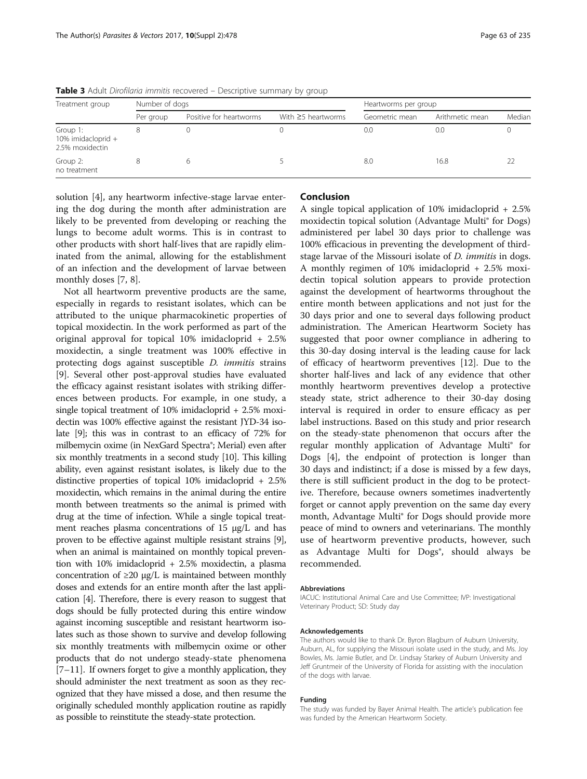| Treatment group                                   | Number of dogs |                         |                          | Heartworms per group |                 |        |  |  |  |
|---------------------------------------------------|----------------|-------------------------|--------------------------|----------------------|-----------------|--------|--|--|--|
|                                                   | Per group      | Positive for heartworms | With $\geq$ 5 heartworms | Geometric mean       | Arithmetic mean | Median |  |  |  |
| Group 1:<br>10% imidacloprid +<br>2.5% moxidectin |                |                         |                          | 0.0                  | 0.0             |        |  |  |  |
| Group 2:<br>no treatment                          |                |                         |                          | 8.0                  | 16.8            |        |  |  |  |

<span id="page-4-0"></span>Table 3 Adult Dirofilaria immitis recovered – Descriptive summary by group

solution [\[4](#page-5-0)], any heartworm infective-stage larvae entering the dog during the month after administration are likely to be prevented from developing or reaching the lungs to become adult worms. This is in contrast to other products with short half-lives that are rapidly eliminated from the animal, allowing for the establishment of an infection and the development of larvae between monthly doses [\[7](#page-5-0), [8](#page-5-0)].

Not all heartworm preventive products are the same, especially in regards to resistant isolates, which can be attributed to the unique pharmacokinetic properties of topical moxidectin. In the work performed as part of the original approval for topical 10% imidacloprid + 2.5% moxidectin, a single treatment was 100% effective in protecting dogs against susceptible D. immitis strains [[9\]](#page-5-0). Several other post-approval studies have evaluated the efficacy against resistant isolates with striking differences between products. For example, in one study, a single topical treatment of 10% imidacloprid + 2.5% moxidectin was 100% effective against the resistant JYD-34 isolate [[9](#page-5-0)]; this was in contrast to an efficacy of 72% for milbemycin oxime (in NexGard Spectra®; Merial) even after six monthly treatments in a second study [\[10\]](#page-5-0). This killing ability, even against resistant isolates, is likely due to the distinctive properties of topical 10% imidacloprid + 2.5% moxidectin, which remains in the animal during the entire month between treatments so the animal is primed with drug at the time of infection. While a single topical treatment reaches plasma concentrations of 15 μg/L and has proven to be effective against multiple resistant strains [[9](#page-5-0)], when an animal is maintained on monthly topical prevention with 10% imidacloprid + 2.5% moxidectin, a plasma concentration of  $\geq$ 20 μg/L is maintained between monthly doses and extends for an entire month after the last application [\[4\]](#page-5-0). Therefore, there is every reason to suggest that dogs should be fully protected during this entire window against incoming susceptible and resistant heartworm isolates such as those shown to survive and develop following six monthly treatments with milbemycin oxime or other products that do not undergo steady-state phenomena  $[7–11]$  $[7–11]$  $[7–11]$  $[7–11]$ . If owners forget to give a monthly application, they should administer the next treatment as soon as they recognized that they have missed a dose, and then resume the originally scheduled monthly application routine as rapidly as possible to reinstitute the steady-state protection.

## Conclusion

A single topical application of 10% imidacloprid + 2.5% moxidectin topical solution (Advantage Multi® for Dogs) administered per label 30 days prior to challenge was 100% efficacious in preventing the development of thirdstage larvae of the Missouri isolate of *D. immitis* in dogs. A monthly regimen of 10% imidacloprid + 2.5% moxidectin topical solution appears to provide protection against the development of heartworms throughout the entire month between applications and not just for the 30 days prior and one to several days following product administration. The American Heartworm Society has suggested that poor owner compliance in adhering to this 30-day dosing interval is the leading cause for lack of efficacy of heartworm preventives [\[12](#page-5-0)]. Due to the shorter half-lives and lack of any evidence that other monthly heartworm preventives develop a protective steady state, strict adherence to their 30-day dosing interval is required in order to ensure efficacy as per label instructions. Based on this study and prior research on the steady-state phenomenon that occurs after the regular monthly application of Advantage Multi® for Dogs [[4\]](#page-5-0), the endpoint of protection is longer than 30 days and indistinct; if a dose is missed by a few days, there is still sufficient product in the dog to be protective. Therefore, because owners sometimes inadvertently forget or cannot apply prevention on the same day every month, Advantage Multi® for Dogs should provide more peace of mind to owners and veterinarians. The monthly use of heartworm preventive products, however, such as Advantage Multi for Dogs<sup>®</sup>, should always be recommended.

#### Abbreviations

IACUC: Institutional Animal Care and Use Committee; IVP: Investigational Veterinary Product; SD: Study day

#### Acknowledgements

The authors would like to thank Dr. Byron Blagburn of Auburn University, Auburn, AL, for supplying the Missouri isolate used in the study, and Ms. Joy Bowles, Ms. Jamie Butler, and Dr. Lindsay Starkey of Auburn University and Jeff Gruntmeir of the University of Florida for assisting with the inoculation of the dogs with larvae.

#### Funding

The study was funded by Bayer Animal Health. The article's publication fee was funded by the American Heartworm Society.